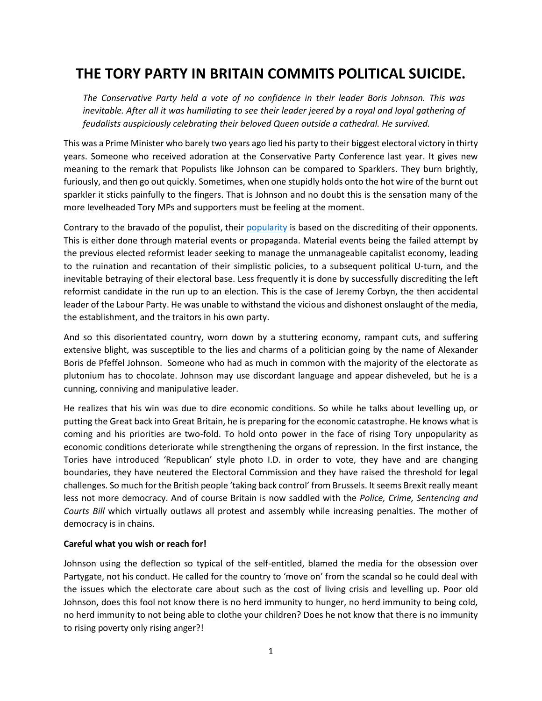# **THE TORY PARTY IN BRITAIN COMMITS POLITICAL SUICIDE.**

*The Conservative Party held a vote of no confidence in their leader Boris Johnson. This was inevitable. After all it was humiliating to see their leader jeered by a royal and loyal gathering of feudalists auspiciously celebrating their beloved Queen outside a cathedral. He survived.*

This was a Prime Minister who barely two years ago lied his party to their biggest electoral victory in thirty years. Someone who received adoration at the Conservative Party Conference last year. It gives new meaning to the remark that Populists like Johnson can be compared to Sparklers. They burn brightly, furiously, and then go out quickly. Sometimes, when one stupidly holds onto the hot wire of the burnt out sparkler it sticks painfully to the fingers. That is Johnson and no doubt this is the sensation many of the more levelheaded Tory MPs and supporters must be feeling at the moment.

Contrary to the bravado of the populist, their [popularity](https://www.aol.co.uk/news/despite-may-think-boris-johnson-142730079.html) is based on the discrediting of their opponents. This is either done through material events or propaganda. Material events being the failed attempt by the previous elected reformist leader seeking to manage the unmanageable capitalist economy, leading to the ruination and recantation of their simplistic policies, to a subsequent political U-turn, and the inevitable betraying of their electoral base. Less frequently it is done by successfully discrediting the left reformist candidate in the run up to an election. This is the case of Jeremy Corbyn, the then accidental leader of the Labour Party. He was unable to withstand the vicious and dishonest onslaught of the media, the establishment, and the traitors in his own party.

And so this disorientated country, worn down by a stuttering economy, rampant cuts, and suffering extensive blight, was susceptible to the lies and charms of a politician going by the name of Alexander Boris de Pfeffel Johnson. Someone who had as much in common with the majority of the electorate as plutonium has to chocolate. Johnson may use discordant language and appear disheveled, but he is a cunning, conniving and manipulative leader.

He realizes that his win was due to dire economic conditions. So while he talks about levelling up, or putting the Great back into Great Britain, he is preparing for the economic catastrophe. He knows what is coming and his priorities are two-fold. To hold onto power in the face of rising Tory unpopularity as economic conditions deteriorate while strengthening the organs of repression. In the first instance, the Tories have introduced 'Republican' style photo I.D. in order to vote, they have and are changing boundaries, they have neutered the Electoral Commission and they have raised the threshold for legal challenges. So much for the British people 'taking back control' from Brussels. It seems Brexit really meant less not more democracy. And of course Britain is now saddled with the *Police, Crime, Sentencing and Courts Bill* which virtually outlaws all protest and assembly while increasing penalties. The mother of democracy is in chains.

#### **Careful what you wish or reach for!**

Johnson using the deflection so typical of the self-entitled, blamed the media for the obsession over Partygate, not his conduct. He called for the country to 'move on' from the scandal so he could deal with the issues which the electorate care about such as the cost of living crisis and levelling up. Poor old Johnson, does this fool not know there is no herd immunity to hunger, no herd immunity to being cold, no herd immunity to not being able to clothe your children? Does he not know that there is no immunity to rising poverty only rising anger?!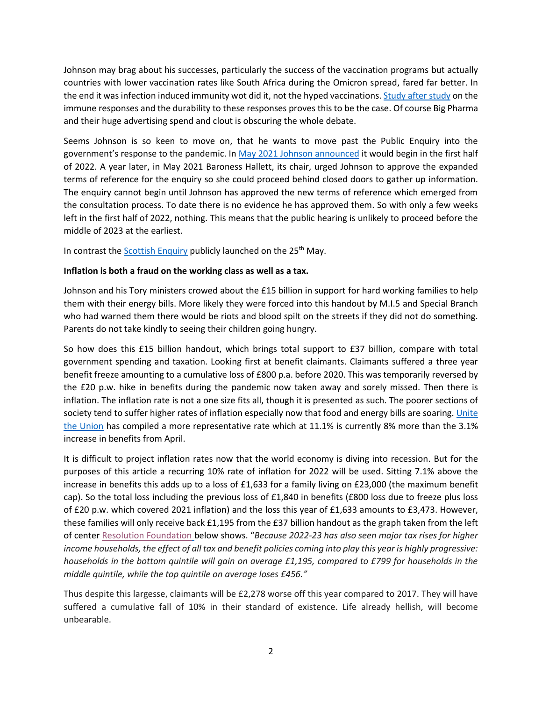Johnson may brag about his successes, particularly the success of the vaccination programs but actually countries with lower vaccination rates like South Africa during the Omicron spread, fared far better. In the end it was infection induced immunity wot did it, not the hyped vaccinations[. Study after study](https://healthcare-in-europe.com/en/news/is-a-natural-covid-19-infection-better-than-vaccination-its-complicated.html) on the immune responses and the durability to these responses proves this to be the case. Of course Big Pharma and their huge advertising spend and clout is obscuring the whole debate.

Seems Johnson is so keen to move on, that he wants to move past the Public Enquiry into the government's response to the pandemic. In [May 2021 Johnson announced](https://www.bbc.co.uk/news/explainers-57085964) it would begin in the first half of 2022. A year later, in May 2021 Baroness Hallett, its chair, urged Johnson to approve the expanded terms of reference for the enquiry so she could proceed behind closed doors to gather up information. The enquiry cannot begin until Johnson has approved the new terms of reference which emerged from the consultation process. To date there is no evidence he has approved them. So with only a few weeks left in the first half of 2022, nothing. This means that the public hearing is unlikely to proceed before the middle of 2023 at the earliest.

In contrast the [Scottish Enquiry](https://www.hillingdontimes.co.uk/news/20164336.scottish-covid-inquiry-launches-publicly-website-setting-aims/) publicly launched on the 25<sup>th</sup> May.

#### **Inflation is both a fraud on the working class as well as a tax.**

Johnson and his Tory ministers crowed about the £15 billion in support for hard working families to help them with their energy bills. More likely they were forced into this handout by M.I.5 and Special Branch who had warned them there would be riots and blood spilt on the streets if they did not do something. Parents do not take kindly to seeing their children going hungry.

So how does this £15 billion handout, which brings total support to £37 billion, compare with total government spending and taxation. Looking first at benefit claimants. Claimants suffered a three year benefit freeze amounting to a cumulative loss of £800 p.a. before 2020. This was temporarily reversed by the £20 p.w. hike in benefits during the pandemic now taken away and sorely missed. Then there is inflation. The inflation rate is not a one size fits all, though it is presented as such. The poorer sections of society tend to suffer higher rates of inflation especially now that food and energy bills are soaring. Unite [the Union](https://www.unitetheunion.org/news-events/news/2022/may/inflation-restrain-boardroom-greed-not-workers-pay-says-unite-boss/) has compiled a more representative rate which at 11.1% is currently 8% more than the 3.1% increase in benefits from April.

It is difficult to project inflation rates now that the world economy is diving into recession. But for the purposes of this article a recurring 10% rate of inflation for 2022 will be used. Sitting 7.1% above the increase in benefits this adds up to a loss of £1,633 for a family living on £23,000 (the maximum benefit cap). So the total loss including the previous loss of £1,840 in benefits (£800 loss due to freeze plus loss of £20 p.w. which covered 2021 inflation) and the loss this year of £1,633 amounts to £3,473. However, these families will only receive back £1,195 from the £37 billion handout as the graph taken from the left of center [Resolution Foundation](https://www.resolutionfoundation.org/publications/back-on-target/) below shows. "*Because 2022-23 has also seen major tax rises for higher income households, the effect of all tax and benefit policies coming into play this year is highly progressive: households in the bottom quintile will gain on average £1,195, compared to £799 for households in the middle quintile, while the top quintile on average loses £456."*

Thus despite this largesse, claimants will be £2,278 worse off this year compared to 2017. They will have suffered a cumulative fall of 10% in their standard of existence. Life already hellish, will become unbearable.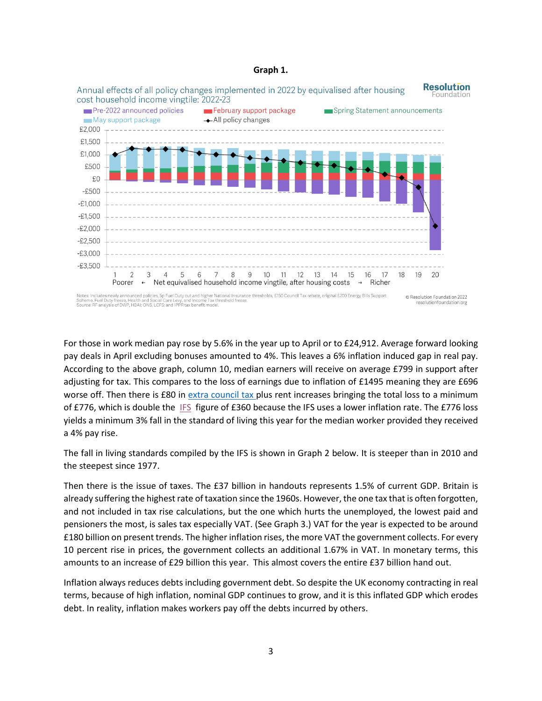#### **Graph 1.**



For those in work median pay rose by 5.6% in the year up to April or to £24,912. Average forward looking pay deals in April excluding bonuses amounted to 4%. This leaves a 6% inflation induced gap in real pay. According to the above graph, column 10, median earners will receive on average £799 in support after adjusting for tax. This compares to the loss of earnings due to inflation of £1495 meaning they are £696 worse off. Then there is £80 in [extra council tax](https://www.ecnmy.org/engage/uk-council-tax-bills-going-80-ish/#:~:text=But%20while%20the%20national%20government%20has%20promises%20to,East%20will%20now%20pay%20around%20%C2%A31%2C884%20a%20year.) plus rent increases bringing the total loss to a minimum of £776, which is double the [IFS](https://ifs.org.uk/uploads/Spring-Statement-2022-Incomes-and-measures-FINAL.pdf) figure of £360 because the IFS uses a lower inflation rate. The £776 loss yields a minimum 3% fall in the standard of living this year for the median worker provided they received a 4% pay rise.

The fall in living standards compiled by the IFS is shown in Graph 2 below. It is steeper than in 2010 and the steepest since 1977.

Then there is the issue of taxes. The £37 billion in handouts represents 1.5% of current GDP. Britain is already suffering the highest rate of taxation since the 1960s. However, the one tax that is often forgotten, and not included in tax rise calculations, but the one which hurts the unemployed, the lowest paid and pensioners the most, is sales tax especially VAT. (See Graph 3.) VAT for the year is expected to be around £180 billion on present trends. The higher inflation rises, the more VAT the government collects. For every 10 percent rise in prices, the government collects an additional 1.67% in VAT. In monetary terms, this amounts to an increase of £29 billion this year. This almost covers the entire £37 billion hand out.

Inflation always reduces debts including government debt. So despite the UK economy contracting in real terms, because of high inflation, nominal GDP continues to grow, and it is this inflated GDP which erodes debt. In reality, inflation makes workers pay off the debts incurred by others.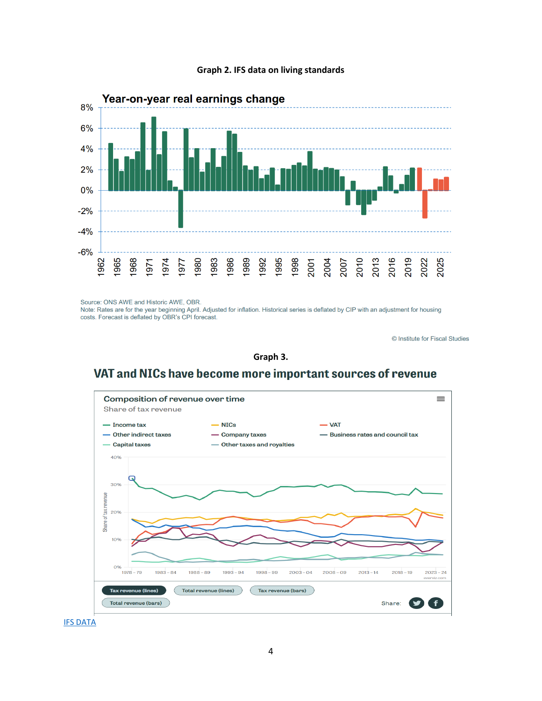



Source: ONS AWE and Historic AWE, OBR.

Note: Rates are for the year beginning April. Adjusted for inflation. Historical series is deflated by CIP with an adjustment for housing costs. Forecast is deflated by OBR's CPI forecast.

© Institute for Fiscal Studies

#### **Graph 3.**

## VAT and NICs have become more important sources of revenue



**[IFS DATA](https://ifs.org.uk/taxlab/key-questions/how-have-government-revenues-changed-over-time)**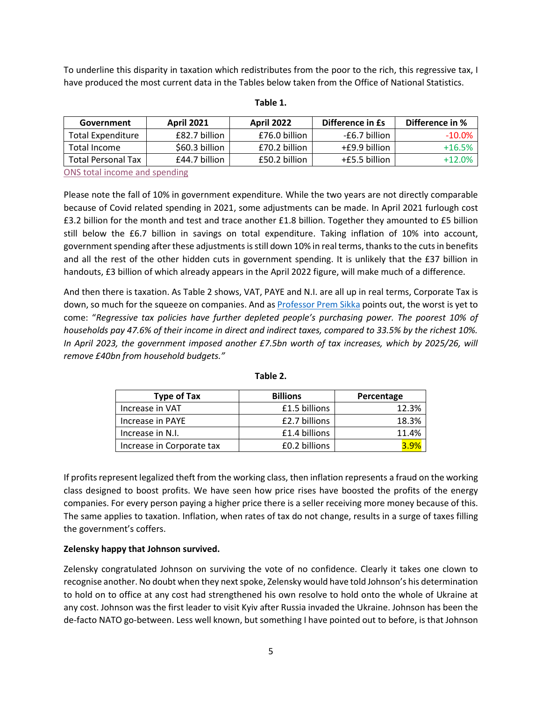To underline this disparity in taxation which redistributes from the poor to the rich, this regressive tax, I have produced the most current data in the Tables below taken from the Office of National Statistics.

| Government                | <b>April 2021</b> | <b>April 2022</b> | Difference in Es | Difference in % |
|---------------------------|-------------------|-------------------|------------------|-----------------|
| <b>Total Expenditure</b>  | £82.7 billion     | £76.0 billion     | -£6.7 billion    | $-10.0\%$       |
| Total Income              | \$60.3 billion    | £70.2 billion     | +£9.9 billion    | $+16.5%$        |
| <b>Total Personal Tax</b> | £44.7 billion     | £50.2 billion     | $+£5.5$ billion  | +12.0%          |

#### **Table 1.**

[ONS total income and spending](https://www.ons.gov.uk/economy/governmentpublicsectorandtaxes/publicsectorfinance/bulletins/publicsectorfinances/april2022)

Please note the fall of 10% in government expenditure. While the two years are not directly comparable because of Covid related spending in 2021, some adjustments can be made. In April 2021 furlough cost £3.2 billion for the month and test and trace another £1.8 billion. Together they amounted to £5 billion still below the £6.7 billion in savings on total expenditure. Taking inflation of 10% into account, government spending after these adjustments is still down 10% in real terms, thanks to the cuts in benefits and all the rest of the other hidden cuts in government spending. It is unlikely that the £37 billion in handouts, £3 billion of which already appears in the April 2022 figure, will make much of a difference.

And then there is taxation. As Table 2 shows, VAT, PAYE and N.I. are all up in real terms, Corporate Tax is down, so much for the squeeze on companies. And as **[Professor Prem](https://leftfootforward.org/2022/05/prof-prem-sikka-britains-cost-of-living-crisis-is-mostly-manufactured-by-government-policies/) Sikka points out, the worst is yet to** come: "*Regressive tax policies have further depleted people's purchasing power. The poorest 10% of households pay 47.6% of their income in direct and indirect taxes, compared to 33.5% by the richest 10%. In April 2023, the government imposed another £7.5bn worth of tax increases, which by 2025/26, will remove £40bn from household budgets."*

| <b>Type of Tax</b>        | <b>Billions</b> | Percentage |
|---------------------------|-----------------|------------|
| Increase in VAT           | £1.5 billions   | 12.3%      |
| Increase in PAYE          | £2.7 billions   | 18.3%      |
| Increase in N.I.          | £1.4 billions   | 11.4%      |
| Increase in Corporate tax | £0.2 billions   |            |

| . .<br>۰.<br>× | ۰. |
|----------------|----|
|----------------|----|

If profits represent legalized theft from the working class, then inflation represents a fraud on the working class designed to boost profits. We have seen how price rises have boosted the profits of the energy companies. For every person paying a higher price there is a seller receiving more money because of this. The same applies to taxation. Inflation, when rates of tax do not change, results in a surge of taxes filling the government's coffers.

#### **Zelensky happy that Johnson survived.**

Zelensky congratulated Johnson on surviving the vote of no confidence. Clearly it takes one clown to recognise another. No doubt when they next spoke, Zelensky would have told Johnson's his determination to hold on to office at any cost had strengthened his own resolve to hold onto the whole of Ukraine at any cost. Johnson was the first leader to visit Kyiv after Russia invaded the Ukraine. Johnson has been the de-facto NATO go-between. Less well known, but something I have pointed out to before, is that Johnson